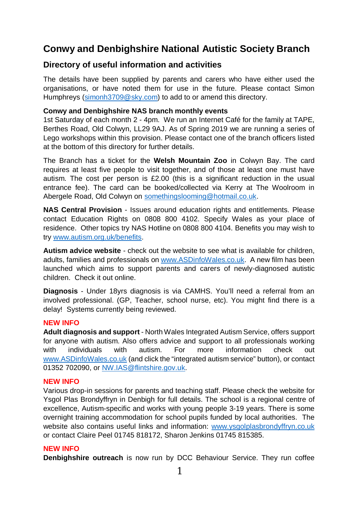## **Conwy and Denbighshire National Autistic Society Branch**

## **Directory of useful information and activities**

The details have been supplied by parents and carers who have either used the organisations, or have noted them for use in the future. Please contact Simon Humphreys [\(simonh3709@sky.com\)](mailto:simonh3709@sky.com) to add to or amend this directory.

#### **Conwy and Denbighshire NAS branch monthly events**

1st Saturday of each month 2 - 4pm. We run an Internet Café for the family at TAPE, Berthes Road, Old Colwyn, LL29 9AJ. As of Spring 2019 we are running a series of Lego workshops within this provision. Please contact one of the branch officers listed at the bottom of this directory for further details.

The Branch has a ticket for the **Welsh Mountain Zoo** in Colwyn Bay. The card requires at least five people to visit together, and of those at least one must have autism. The cost per person is £2.00 (this is a significant reduction in the usual entrance fee). The card can be booked/collected via Kerry at The Woolroom in Abergele Road, Old Colwyn on [somethingslooming@hotmail.co.uk.](mailto:somethingslooming@hotmail.co.uk)

**NAS Central Provision** - Issues around education rights and entitlements. Please contact Education Rights on 0808 800 4102. Specify Wales as your place of residence. Other topics try NAS Hotline on 0808 800 4104. Benefits you may wish to try [www.autism.org.uk/benefits.](http://www.autism.org.uk/benefits)

**Autism advice website** - check out the website to see what is available for children, adults, families and professionals on [www.ASDinfoWales.co.uk.](http://www.asdinfowales.co.uk/) A new film has been launched which aims to support parents and carers of newly-diagnosed autistic children. Check it out online.

**Diagnosis** - Under 18yrs diagnosis is via CAMHS. You'll need a referral from an involved professional. (GP, Teacher, school nurse, etc). You might find there is a delay! Systems currently being reviewed.

#### **NEW INFO**

**Adult diagnosis and support** - North Wales Integrated Autism Service, offers support for anyone with autism. Also offers advice and support to all professionals working with individuals with autism. For more information check out [www.ASDinfoWales.co.uk](http://www.asdinfowales.co.uk/) (and click the "integrated autism service" button), or contact 01352 702090, or [NW.IAS@flintshire.gov.uk.](mailto:NW.IAS@flintshire.gov.uk)

#### **NEW INFO**

Various drop-in sessions for parents and teaching staff. Please check the website for Ysgol Plas Brondyffryn in Denbigh for full details. The school is a regional centre of excellence, Autism-specific and works with young people 3-19 years. There is some overnight training accommodation for school pupils funded by local authorities. The website also contains useful links and information: [www.ysgolplasbrondyffryn.co.uk](http://www.ysgolplasbrondyffryn.co.uk/) or contact Claire Peel 01745 818172, Sharon Jenkins 01745 815385.

#### **NEW INFO**

**Denbighshire outreach** is now run by DCC Behaviour Service. They run coffee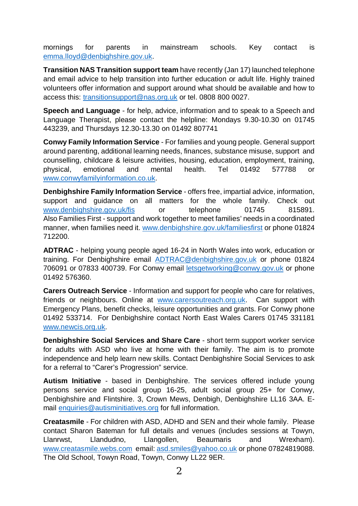mornings for parents in mainstream schools. Key contact is [emma.lloyd@denbighshire.gov.uk.](mailto:emma.lloyd@denbighshire.gov.uk)

**Transition NAS Transition support team** have recently (Jan 17) launched telephone and email advice to help transition into further education or adult life. Highly trained volunteers offer information and support around what should be available and how to access this: [transitionsupport@nas.org.uk](mailto:transitionsupport@nas.org.uk) or tel. 0808 800 0027.

**Speech and Language** - for help, advice, information and to speak to a Speech and Language Therapist, please contact the helpline: Mondays 9.30-10.30 on 01745 443239, and Thursdays 12.30-13.30 on 01492 807741

**Conwy Family Information Service** - For families and young people. General support around parenting, additional learning needs, finances, substance misuse, support and counselling, childcare & leisure activities, housing, education, employment, training, physical, emotional and mental health. Tel 01492 577788 or [www.conwyfamilyinformation.co.uk.](http://www.conwyfamilyinformation.co.uk/)

**Denbighshire Family Information Service** - offers free, impartial advice, information, support and guidance on all matters for the whole family. Check out [www.denbighshire.gov.uk/fis](http://www.denbighshire.gov.uk/fis) or telephone 01745 815891. Also Families First - support and work together to meet families' needs in a coordinated manner, when families need it. [www.denbighshire.gov.uk/familiesfirst](http://www.denbighshire.gov.uk/familiesfirst) or phone 01824 712200.

**ADTRAC** - helping young people aged 16-24 in North Wales into work, education or training. For Denbighshire email [ADTRAC@denbighshire.gov.uk](mailto:ADTRAC@denbighshire.gov.uk) or phone 01824 706091 or 07833 400739. For Conwy email [letsgetworking@conwy.gov.uk](mailto:letsgetworking@conwy.gov.uk) or phone 01492 576360.

**Carers Outreach Service** - Information and support for people who care for relatives, friends or neighbours. Online at [www.carersoutreach.org.uk.](http://www.carersoutreach.org.uk/) Can support with Emergency Plans, benefit checks, leisure opportunities and grants. For Conwy phone 01492 533714. For Denbighshire contact North East Wales Carers 01745 331181 [www.newcis.org.uk.](http://www.newcis.org.uk/)

**Denbighshire Social Services and Share Care** - short term support worker service for adults with ASD who live at home with their family. The aim is to promote independence and help learn new skills. Contact Denbighshire Social Services to ask for a referral to "Carer's Progression" service.

**Autism Initiative** - based in Denbighshire. The services offered include young persons service and social group 16-25, adult social group 25+ for Conwy, Denbighshire and Flintshire. 3, Crown Mews, Denbigh, Denbighshire LL16 3AA. Email [enquiries@autisminitiatives.org](mailto:enquiries@autisminitiatives.org) for full information.

**Creatasmile** - For children with ASD, ADHD and SEN and their whole family. Please contact Sharon Bateman for full details and venues (includes sessions at Towyn, Llanrwst, Llandudno, Llangollen, Beaumaris and Wrexham). [www.creatasmile.webs.com](http://www.creatasmile.webs.com/) email: [asd.smiles@yahoo.co.uk](mailto:asd.smiles@yahoo.co.uk) or phone 07824819088. The Old School, Towyn Road, Towyn, Conwy LL22 9ER.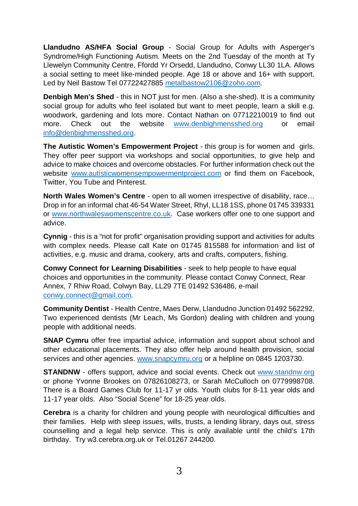**Llandudno AS/HFA Social Group** - Social Group for Adults with Asperger's Syndrome/High Functioning Autism. Meets on the 2nd Tuesday of the month at Ty Llewelyn Community Centre, Ffordd Yr Orsedd, Llandudno, Conwy LL30 1LA. Allows a social setting to meet like-minded people. Age 18 or above and 16+ with support. Led by Neil Bastow Tel 07722427885 [metalbastow2106@zoho.com.](mailto:metalbastow2106@zoho.com)

**Denbigh Men's Shed** - this in NOT just for men. (Also a she-shed). It is a community social group for adults who feel isolated but want to meet people, learn a skill e.g. woodwork, gardening and lots more. Contact Nathan on 07712210019 to find out more. Check out the website [www.denbighmensshed.org](http://www.denbighmensshed.org/) or email [info@denbighmensshed.org.](mailto:info@denbighmensshed.org)

**The Autistic Women's Empowerment Project** - this group is for women and girls. They offer peer support via workshops and social opportunities, to give help and advice to make choices and overcome obstacles. For further information check out the website [www.autisticwomensempowermentproject.com](http://www.autisticwomensempowermentproject.com/) or find them on Facebook, Twitter, You Tube and Pinterest.

**North Wales Women's Centre** - open to all women irrespective of disability, race... Drop in for an informal chat 46-54 Water Street, Rhyl, LL18 1SS, phone 01745 339331 or [www.northwaleswomenscentre.co.uk.](http://www.northwaleswomenscentre.co.uk/) Case workers offer one to one support and advice.

**Cynnig** - this is a "not for profit" organisation providing support and activities for adults with complex needs. Please call Kate on 01745 815588 for information and list of activities, e.g. music and drama, cookery, arts and crafts, computers, fishing.

**Conwy Connect for Learning Disabilities** - seek to help people to have equal choices and opportunities in the community. Please contact Conwy Connect, Rear Annex, 7 Rhiw Road, Colwyn Bay, LL29 7TE 01492 536486, e-mail [conwy.connect@gmail.com.](mailto:conwy.connect@gmail.com)

**Community Dentist** - Health Centre, Maes Derw, Llandudno Junction 01492 562292. Two experienced dentists (Mr Leach, Ms Gordon) dealing with children and young people with additional needs.

**SNAP Cymru** offer free impartial advice, information and support about school and other educational placements. They also offer help around health provision, social services and other agencies. [www.snapcymru.org](http://www.snapcymru.org/) or a helpline on 0845 1203730.

**STANDNW** - offers support, advice and social events. Check out [www.standnw.org](http://www.standnw.org/) or phone Yvonne Brookes on 07826108273, or Sarah McCulloch on 0779998708. There is a Board Games Club for 11-17 yr olds. Youth clubs for 8-11 year olds and 11-17 year olds. Also "Social Scene" for 18-25 year olds.

**Cerebra** is a charity for children and young people with neurological difficulties and their families. Help with sleep issues, wills, trusts, a lending library, days out, stress counselling and a legal help service. This is only available until the child's 17th birthday. Try w3.cerebra.org.uk or Tel.01267 244200.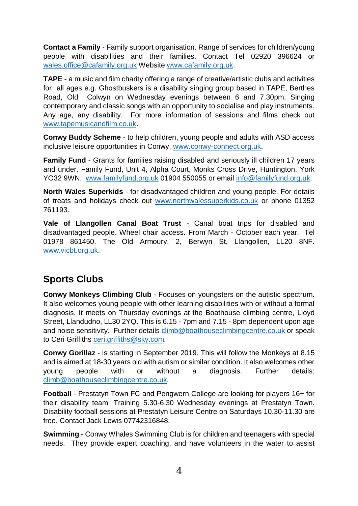**Contact a Family** - Family support organisation. Range of services for children/young people with disabilities and their families. Contact Tel 02920 396624 or [wales.office@cafamily.org.uk](mailto:wales.office@cafamily.org.uk) Website [www.cafamily.org.uk.](http://www.cafamily.org.uk/)

**TAPE** - a music and film charity offering a range of creative/artistic clubs and activities for all ages e.g. Ghostbuskers is a disability singing group based in TAPE, Berthes Road, Old Colwyn on Wednesday evenings between 6 and 7.30pm. Singing contemporary and classic songs with an opportunity to socialise and play instruments. Any age, any disability. For more information of sessions and films check out [www.tapemusicandfilm.co.uk.](http://www.tapemusicandfilm.co.uk/)

**Conwy Buddy Scheme** - to help children, young people and adults with ASD access inclusive leisure opportunities in Conwy, [www.conwy-connect.org.uk.](http://www.conwy-connect.org.uk/)

**Family Fund** - Grants for families raising disabled and seriously ill children 17 years and under. Family Fund, Unit 4, Alpha Court, Monks Cross Drive, Huntington, York YO32 9WN. [www.familyfund.org.uk](http://www.familyfund.org.uk/) 01904 550055 or email [info@familyfund.org.uk.](mailto:info@familyfund.org.uk)

**North Wales Superkids** - for disadvantaged children and young people. For details of treats and holidays check out [www.northwalessuperkids.co.uk](http://www.northwalessuperkids.co.uk/) or phone 01352 761193.

**Vale of Llangollen Canal Boat Trust** - Canal boat trips for disabled and disadvantaged people. Wheel chair access. From March - October each year. Tel 01978 861450. The Old Armoury, 2, Berwyn St, Llangollen, LL20 8NF. [www.vicbt.org.uk.](http://www.vicbt.org.uk/)

# **Sports Clubs**

**Conwy Monkeys Climbing Club** - Focuses on youngsters on the autistic spectrum. It also welcomes young people with other learning disabilities with or without a formal diagnosis. It meets on Thursday evenings at the Boathouse climbing centre, Lloyd Street, Llandudno, LL30 2YQ. This is 6.15 - 7pm and 7.15 - 8pm dependent upon age and noise sensitivity. Further details [climb@boathouseclimbingcentre.co.uk](mailto:climb@boathouseclimbingcentre.co.uk) or speak to Ceri Griffiths [ceri.griffiths@sky.com.](mailto:ceri.griffiths@sky.com)

**Conwy Gorillaz** - is starting in September 2019. This will follow the Monkeys at 8.15 and is aimed at 18-30 years old with autism or similar condition. It also welcomes other young people with or without a diagnosis. Further details: [climb@boathouseclimbingcentre.co.uk.](mailto:climb@boathouseclimbingcentre.co.uk)

**Football** - Prestatyn Town FC and Pengwern College are looking for players 16+ for their disability team. Training 5.30-6.30 Wednesday evenings at Prestatyn Town. Disability football sessions at Prestatyn Leisure Centre on Saturdays 10.30-11.30 are free. Contact Jack Lewis 07742316848.

**Swimming** - Conwy Whales Swimming Club is for children and teenagers with special needs. They provide expert coaching, and have volunteers in the water to assist